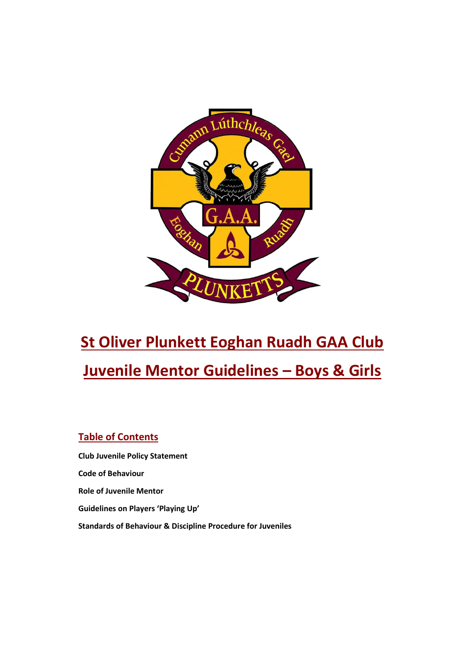

# **St Oliver Plunkett Eoghan Ruadh GAA Club Juvenile Mentor Guidelines – Boys & Girls**

## **Table of Contents**

**Club Juvenile Policy Statement Code of Behaviour Role of Juvenile Mentor Guidelines on Players 'Playing Up' Standards of Behaviour & Discipline Procedure for Juveniles**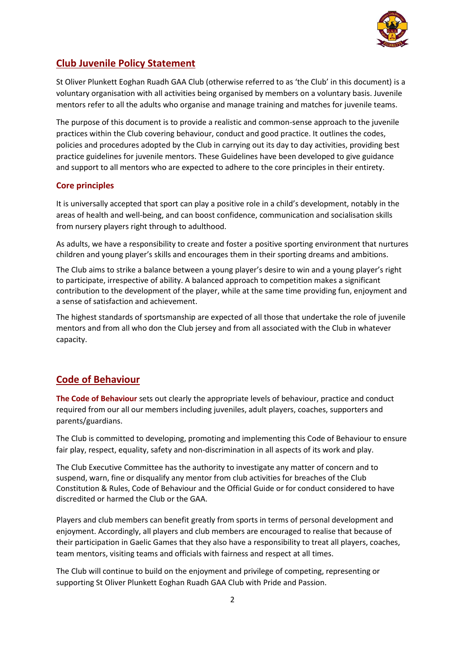

## **Club Juvenile Policy Statement**

St Oliver Plunkett Eoghan Ruadh GAA Club (otherwise referred to as 'the Club' in this document) is a voluntary organisation with all activities being organised by members on a voluntary basis. Juvenile mentors refer to all the adults who organise and manage training and matches for juvenile teams.

The purpose of this document is to provide a realistic and common-sense approach to the juvenile practices within the Club covering behaviour, conduct and good practice. It outlines the codes, policies and procedures adopted by the Club in carrying out its day to day activities, providing best practice guidelines for juvenile mentors. These Guidelines have been developed to give guidance and support to all mentors who are expected to adhere to the core principles in their entirety.

#### **Core principles**

It is universally accepted that sport can play a positive role in a child's development, notably in the areas of health and well-being, and can boost confidence, communication and socialisation skills from nursery players right through to adulthood.

As adults, we have a responsibility to create and foster a positive sporting environment that nurtures children and young player's skills and encourages them in their sporting dreams and ambitions.

The Club aims to strike a balance between a young player's desire to win and a young player's right to participate, irrespective of ability. A balanced approach to competition makes a significant contribution to the development of the player, while at the same time providing fun, enjoyment and a sense of satisfaction and achievement.

The highest standards of sportsmanship are expected of all those that undertake the role of juvenile mentors and from all who don the Club jersey and from all associated with the Club in whatever capacity.

## **Code of Behaviour**

**The Code of Behaviour** sets out clearly the appropriate levels of behaviour, practice and conduct required from our all our members including juveniles, adult players, coaches, supporters and parents/guardians.

The Club is committed to developing, promoting and implementing this Code of Behaviour to ensure fair play, respect, equality, safety and non-discrimination in all aspects of its work and play.

The Club Executive Committee has the authority to investigate any matter of concern and to suspend, warn, fine or disqualify any mentor from club activities for breaches of the Club Constitution & Rules, Code of Behaviour and the Official Guide or for conduct considered to have discredited or harmed the Club or the GAA.

Players and club members can benefit greatly from sports in terms of personal development and enjoyment. Accordingly, all players and club members are encouraged to realise that because of their participation in Gaelic Games that they also have a responsibility to treat all players, coaches, team mentors, visiting teams and officials with fairness and respect at all times.

The Club will continue to build on the enjoyment and privilege of competing, representing or supporting St Oliver Plunkett Eoghan Ruadh GAA Club with Pride and Passion.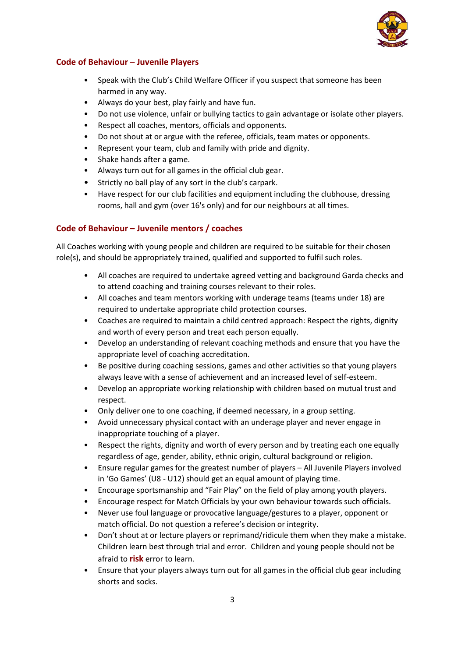

#### **Code of Behaviour – Juvenile Players**

- Speak with the Club's Child Welfare Officer if you suspect that someone has been harmed in any way.
- Always do your best, play fairly and have fun.
- Do not use violence, unfair or bullying tactics to gain advantage or isolate other players.
- Respect all coaches, mentors, officials and opponents.
- Do not shout at or argue with the referee, officials, team mates or opponents.
- Represent your team, club and family with pride and dignity.
- Shake hands after a game.
- Always turn out for all games in the official club gear.
- Strictly no ball play of any sort in the club's carpark.
- Have respect for our club facilities and equipment including the clubhouse, dressing rooms, hall and gym (over 16's only) and for our neighbours at all times.

#### **Code of Behaviour – Juvenile mentors / coaches**

All Coaches working with young people and children are required to be suitable for their chosen role(s), and should be appropriately trained, qualified and supported to fulfil such roles.

- All coaches are required to undertake agreed vetting and background Garda checks and to attend coaching and training courses relevant to their roles.
- All coaches and team mentors working with underage teams (teams under 18) are required to undertake appropriate child protection courses.
- Coaches are required to maintain a child centred approach: Respect the rights, dignity and worth of every person and treat each person equally.
- Develop an understanding of relevant coaching methods and ensure that you have the appropriate level of coaching accreditation.
- Be positive during coaching sessions, games and other activities so that young players always leave with a sense of achievement and an increased level of self-esteem.
- Develop an appropriate working relationship with children based on mutual trust and respect.
- Only deliver one to one coaching, if deemed necessary, in a group setting.
- Avoid unnecessary physical contact with an underage player and never engage in inappropriate touching of a player.
- Respect the rights, dignity and worth of every person and by treating each one equally regardless of age, gender, ability, ethnic origin, cultural background or religion.
- Ensure regular games for the greatest number of players All Juvenile Players involved in 'Go Games' (U8 - U12) should get an equal amount of playing time.
- Encourage sportsmanship and "Fair Play" on the field of play among youth players.
- Encourage respect for Match Officials by your own behaviour towards such officials.
- Never use foul language or provocative language/gestures to a player, opponent or match official. Do not question a referee's decision or integrity.
- Don't shout at or lecture players or reprimand/ridicule them when they make a mistake. Children learn best through trial and error. Children and young people should not be afraid to **risk** error to learn.
- Ensure that your players always turn out for all games in the official club gear including shorts and socks.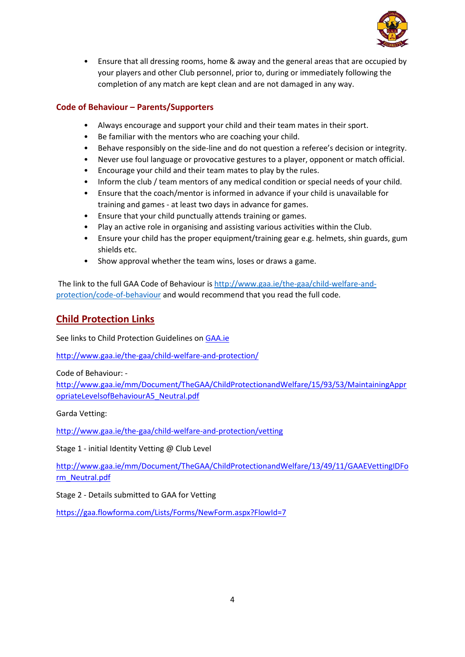

• Ensure that all dressing rooms, home & away and the general areas that are occupied by your players and other Club personnel, prior to, during or immediately following the completion of any match are kept clean and are not damaged in any way.

## **Code of Behaviour – Parents/Supporters**

- Always encourage and support your child and their team mates in their sport.
- Be familiar with the mentors who are coaching your child.
- Behave responsibly on the side-line and do not question a referee's decision or integrity.
- Never use foul language or provocative gestures to a player, opponent or match official.
- Encourage your child and their team mates to play by the rules.
- Inform the club / team mentors of any medical condition or special needs of your child.
- Ensure that the coach/mentor is informed in advance if your child is unavailable for training and games - at least two days in advance for games.
- Ensure that your child punctually attends training or games.
- Play an active role in organising and assisting various activities within the Club.
- Ensure your child has the proper equipment/training gear e.g. helmets, shin guards, gum shields etc.
- Show approval whether the team wins, loses or draws a game.

The link to the full GAA Code of Behaviour is [http://www.gaa.ie/the-gaa/child-welfare-and](http://www.gaa.ie/the-gaa/child-welfare-and-protection/code-of-behaviour)[protection/code-of-behaviour](http://www.gaa.ie/the-gaa/child-welfare-and-protection/code-of-behaviour) and would recommend that you read the full code.

## **Child Protection Links**

See links to Child Protection Guidelines on [GAA.ie](http://gaa.ie/)

[http://www.gaa.ie/the-gaa/child-welfare-and-protection/](https://eur02.safelinks.protection.outlook.com/?url=http%3A%2F%2Fwww.gaa.ie%2Fthe-gaa%2Fchild-welfare-and-protection%2F&data=02%7C01%7C%7Cb942e92441dd42c74f6308d5b43cda4f%7C84df9e7fe9f640afb435aaaaaaaaaaaa%7C1%7C0%7C636613095801633261&sdata=FycHG6kSPvgq5yg9qLyrmBeGnJPtZEhq7O%2FA23I7IXE%3D&reserved=0)

Code of Behaviour: -

[http://www.gaa.ie/mm/Document/TheGAA/ChildProtectionandWelfare/15/93/53/MaintainingAppr](https://eur02.safelinks.protection.outlook.com/?url=http%3A%2F%2Fwww.gaa.ie%2Fmm%2FDocument%2FTheGAA%2FChildProtectionandWelfare%2F15%2F93%2F53%2FMaintainingAppropriateLevelsofBehaviourA5_Neutral.pdf&data=02%7C01%7C%7Cb942e92441dd42c74f6308d5b43cda4f%7C84df9e7fe9f640afb435aaaaaaaaaaaa%7C1%7C0%7C636613095801633261&sdata=GkdR2I4QOkEX9HO2Kza9lRGWcTcf0Z9k6D07d0BLEXg%3D&reserved=0) [opriateLevelsofBehaviourA5\\_Neutral.pdf](https://eur02.safelinks.protection.outlook.com/?url=http%3A%2F%2Fwww.gaa.ie%2Fmm%2FDocument%2FTheGAA%2FChildProtectionandWelfare%2F15%2F93%2F53%2FMaintainingAppropriateLevelsofBehaviourA5_Neutral.pdf&data=02%7C01%7C%7Cb942e92441dd42c74f6308d5b43cda4f%7C84df9e7fe9f640afb435aaaaaaaaaaaa%7C1%7C0%7C636613095801633261&sdata=GkdR2I4QOkEX9HO2Kza9lRGWcTcf0Z9k6D07d0BLEXg%3D&reserved=0)

Garda Vetting:

[http://www.gaa.ie/the-gaa/child-welfare-and-protection/vetting](https://eur02.safelinks.protection.outlook.com/?url=http%3A%2F%2Fwww.gaa.ie%2Fthe-gaa%2Fchild-welfare-and-protection%2Fvetting&data=02%7C01%7C%7Cb942e92441dd42c74f6308d5b43cda4f%7C84df9e7fe9f640afb435aaaaaaaaaaaa%7C1%7C0%7C636613095801633261&sdata=xOErlavU2Fvr1ykkZB3cOpgW30c4O5blaPYFo1SaT9I%3D&reserved=0)

Stage 1 - initial Identity Vetting @ Club Level

[http://www.gaa.ie/mm/Document/TheGAA/ChildProtectionandWelfare/13/49/11/GAAEVettingIDFo](https://eur02.safelinks.protection.outlook.com/?url=http%3A%2F%2Fwww.gaa.ie%2Fmm%2FDocument%2FTheGAA%2FChildProtectionandWelfare%2F13%2F49%2F11%2FGAAEVettingIDForm_Neutral.pdf&data=02%7C01%7C%7Cb942e92441dd42c74f6308d5b43cda4f%7C84df9e7fe9f640afb435aaaaaaaaaaaa%7C1%7C0%7C636613095801633261&sdata=shg9MntXnlOOYu4Hz49FyIzKS4FVm8LGpjVgyjDIQBA%3D&reserved=0) [rm\\_Neutral.pdf](https://eur02.safelinks.protection.outlook.com/?url=http%3A%2F%2Fwww.gaa.ie%2Fmm%2FDocument%2FTheGAA%2FChildProtectionandWelfare%2F13%2F49%2F11%2FGAAEVettingIDForm_Neutral.pdf&data=02%7C01%7C%7Cb942e92441dd42c74f6308d5b43cda4f%7C84df9e7fe9f640afb435aaaaaaaaaaaa%7C1%7C0%7C636613095801633261&sdata=shg9MntXnlOOYu4Hz49FyIzKS4FVm8LGpjVgyjDIQBA%3D&reserved=0)

Stage 2 - Details submitted to GAA for Vetting

[https://gaa.flowforma.com/Lists/Forms/NewForm.aspx?FlowId=7](https://eur02.safelinks.protection.outlook.com/?url=https%3A%2F%2Fgaa.flowforma.com%2FLists%2FForms%2FNewForm.aspx%3FFlowId%3D7&data=02%7C01%7C%7Cb942e92441dd42c74f6308d5b43cda4f%7C84df9e7fe9f640afb435aaaaaaaaaaaa%7C1%7C0%7C636613095801633261&sdata=3W7%2FyewiAbkWWFTYt%2BuAf704VUwp%2FX779%2FYVezeEXuc%3D&reserved=0)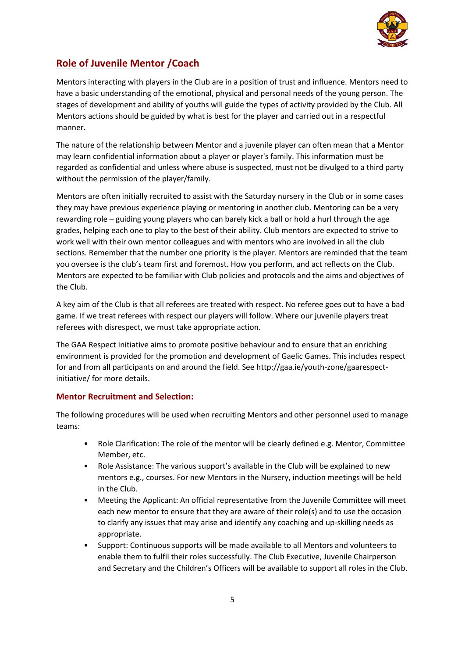

# **Role of Juvenile Mentor /Coach**

Mentors interacting with players in the Club are in a position of trust and influence. Mentors need to have a basic understanding of the emotional, physical and personal needs of the young person. The stages of development and ability of youths will guide the types of activity provided by the Club. All Mentors actions should be guided by what is best for the player and carried out in a respectful manner.

The nature of the relationship between Mentor and a juvenile player can often mean that a Mentor may learn confidential information about a player or player's family. This information must be regarded as confidential and unless where abuse is suspected, must not be divulged to a third party without the permission of the player/family.

Mentors are often initially recruited to assist with the Saturday nursery in the Club or in some cases they may have previous experience playing or mentoring in another club. Mentoring can be a very rewarding role – guiding young players who can barely kick a ball or hold a hurl through the age grades, helping each one to play to the best of their ability. Club mentors are expected to strive to work well with their own mentor colleagues and with mentors who are involved in all the club sections. Remember that the number one priority is the player. Mentors are reminded that the team you oversee is the club's team first and foremost. How you perform, and act reflects on the Club. Mentors are expected to be familiar with Club policies and protocols and the aims and objectives of the Club.

A key aim of the Club is that all referees are treated with respect. No referee goes out to have a bad game. If we treat referees with respect our players will follow. Where our juvenile players treat referees with disrespect, we must take appropriate action.

The GAA Respect Initiative aims to promote positive behaviour and to ensure that an enriching environment is provided for the promotion and development of Gaelic Games. This includes respect for and from all participants on and around the field. See http://gaa.ie/youth-zone/gaarespectinitiative/ for more details.

#### **Mentor Recruitment and Selection:**

The following procedures will be used when recruiting Mentors and other personnel used to manage teams:

- Role Clarification: The role of the mentor will be clearly defined e.g. Mentor, Committee Member, etc.
- Role Assistance: The various support's available in the Club will be explained to new mentors e.g., courses. For new Mentors in the Nursery, induction meetings will be held in the Club.
- Meeting the Applicant: An official representative from the Juvenile Committee will meet each new mentor to ensure that they are aware of their role(s) and to use the occasion to clarify any issues that may arise and identify any coaching and up-skilling needs as appropriate.
- Support: Continuous supports will be made available to all Mentors and volunteers to enable them to fulfil their roles successfully. The Club Executive, Juvenile Chairperson and Secretary and the Children's Officers will be available to support all roles in the Club.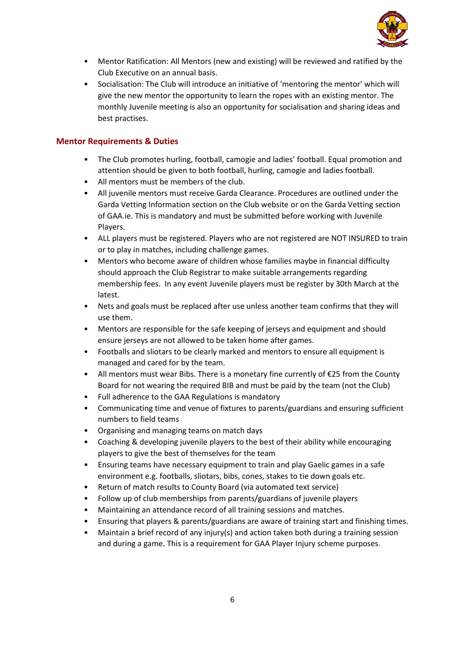

- Mentor Ratification: All Mentors (new and existing) will be reviewed and ratified by the Club Executive on an annual basis.
- Socialisation: The Club will introduce an initiative of 'mentoring the mentor' which will give the new mentor the opportunity to learn the ropes with an existing mentor. The monthly Juvenile meeting is also an opportunity for socialisation and sharing ideas and best practises.

#### **Mentor Requirements & Duties**

- The Club promotes hurling, football, camogie and ladies' football. Equal promotion and attention should be given to both football, hurling, camogie and ladies football.
- All mentors must be members of the club.
- All juvenile mentors must receive Garda Clearance. Procedures are outlined under the Garda Vetting Information section on the Club website or on the Garda Vetting section of [GAA.ie.](http://www.gaa.ie/the-gaa/child-welfare-and-protection/vetting) This is mandatory and must be submitted before working with Juvenile Players.
- ALL players must be registered. Players who are not registered are NOT INSURED to train or to play in matches, including challenge games.
- Mentors who become aware of children whose families maybe in financial difficulty should approach the Club Registrar to make suitable arrangements regarding membership fees. In any event Juvenile players must be register by 30th March at the latest.
- Nets and goals must be replaced after use unless another team confirms that they will use them.
- Mentors are responsible for the safe keeping of jerseys and equipment and should ensure jerseys are not allowed to be taken home after games.
- Footballs and sliotars to be clearly marked and mentors to ensure all equipment is managed and cared for by the team.
- All mentors must wear Bibs. There is a monetary fine currently of  $E$ 25 from the County Board for not wearing the required BIB and must be paid by the team (not the Club)
- Full adherence to the GAA Regulations is mandatory
- Communicating time and venue of fixtures to parents/guardians and ensuring sufficient numbers to field teams
- Organising and managing teams on match days
- Coaching & developing juvenile players to the best of their ability while encouraging players to give the best of themselves for the team
- Ensuring teams have necessary equipment to train and play Gaelic games in a safe environment e.g. footballs, sliotars, bibs, cones, stakes to tie down goals etc.
- Return of match results to County Board (via automated text service)
- Follow up of club memberships from parents/guardians of juvenile players
- Maintaining an attendance record of all training sessions and matches.
- Ensuring that players & parents/guardians are aware of training start and finishing times.
- Maintain a brief record of any injury(s) and action taken both during a training session and during a game. This is a requirement for GAA Player Injury scheme purposes.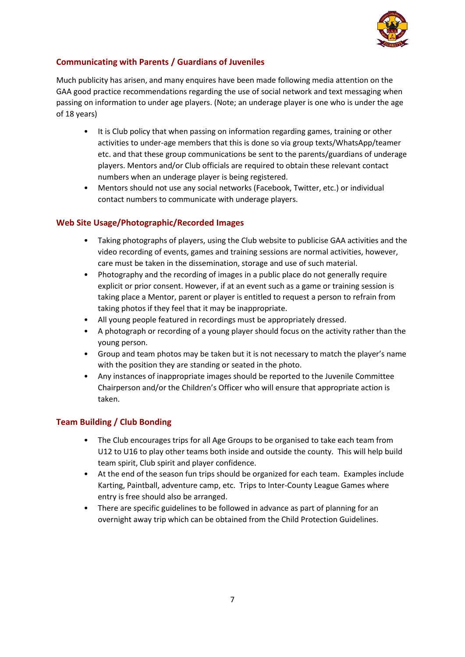

## **Communicating with Parents / Guardians of Juveniles**

Much publicity has arisen, and many enquires have been made following media attention on the GAA good practice recommendations regarding the use of social network and text messaging when passing on information to under age players. (Note; an underage player is one who is under the age of 18 years)

- It is Club policy that when passing on information regarding games, training or other activities to under-age members that this is done so via group texts/WhatsApp/teamer etc. and that these group communications be sent to the parents/guardians of underage players. Mentors and/or Club officials are required to obtain these relevant contact numbers when an underage player is being registered.
- Mentors should not use any social networks (Facebook, Twitter, etc.) or individual contact numbers to communicate with underage players.

#### **Web Site Usage/Photographic/Recorded Images**

- Taking photographs of players, using the Club website to publicise GAA activities and the video recording of events, games and training sessions are normal activities, however, care must be taken in the dissemination, storage and use of such material.
- Photography and the recording of images in a public place do not generally require explicit or prior consent. However, if at an event such as a game or training session is taking place a Mentor, parent or player is entitled to request a person to refrain from taking photos if they feel that it may be inappropriate.
- All young people featured in recordings must be appropriately dressed.
- A photograph or recording of a young player should focus on the activity rather than the young person.
- Group and team photos may be taken but it is not necessary to match the player's name with the position they are standing or seated in the photo.
- Any instances of inappropriate images should be reported to the Juvenile Committee Chairperson and/or the Children's Officer who will ensure that appropriate action is taken.

#### **Team Building / Club Bonding**

- The Club encourages trips for all Age Groups to be organised to take each team from U12 to U16 to play other teams both inside and outside the county. This will help build team spirit, Club spirit and player confidence.
- At the end of the season fun trips should be organized for each team. Examples include Karting, Paintball, adventure camp, etc. Trips to Inter-County League Games where entry is free should also be arranged.
- There are specific guidelines to be followed in advance as part of planning for an overnight away trip which can be obtained from the Child Protection Guidelines.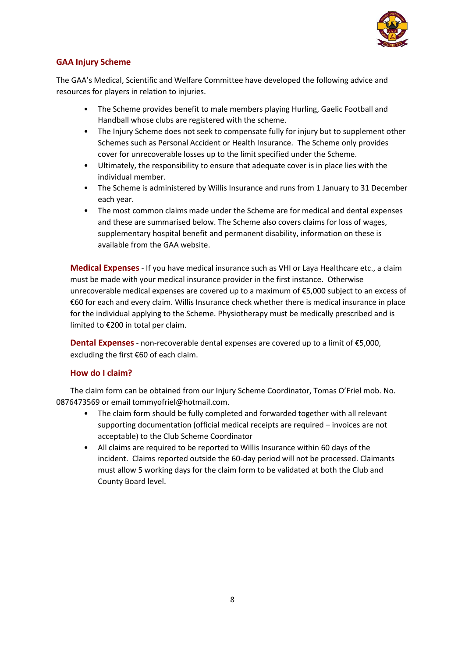

## **GAA Injury Scheme**

The GAA's Medical, Scientific and Welfare Committee have developed the following advice and resources for players in relation to injuries.

- The Scheme provides benefit to male members playing Hurling, Gaelic Football and Handball whose clubs are registered with the scheme.
- The Injury Scheme does not seek to compensate fully for injury but to supplement other Schemes such as Personal Accident or Health Insurance. The Scheme only provides cover for unrecoverable losses up to the limit specified under the Scheme.
- Ultimately, the responsibility to ensure that adequate cover is in place lies with the individual member.
- The Scheme is administered by Willis Insurance and runs from 1 January to 31 December each year.
- The most common claims made under the Scheme are for medical and dental expenses and these are summarised below. The Scheme also covers claims for loss of wages, supplementary hospital benefit and permanent disability, information on these is available from the GAA website.

**Medical Expenses** - If you have medical insurance such as VHI or Laya Healthcare etc., a claim must be made with your medical insurance provider in the first instance. Otherwise unrecoverable medical expenses are covered up to a maximum of €5,000 subject to an excess of €60 for each and every claim. Willis Insurance check whether there is medical insurance in place for the individual applying to the Scheme. Physiotherapy must be medically prescribed and is limited to €200 in total per claim.

**Dental Expenses** - non-recoverable dental expenses are covered up to a limit of €5,000, excluding the first €60 of each claim.

#### **How do I claim?**

The claim form can be obtained from our Injury Scheme Coordinator, Tomas O'Friel mob. No. 0876473569 or email tommyofriel@hotmail.com.

- The claim form should be fully completed and forwarded together with all relevant supporting documentation (official medical receipts are required – invoices are not acceptable) to the Club Scheme Coordinator
- All claims are required to be reported to Willis Insurance within 60 days of the incident. Claims reported outside the 60-day period will not be processed. Claimants must allow 5 working days for the claim form to be validated at both the Club and County Board level.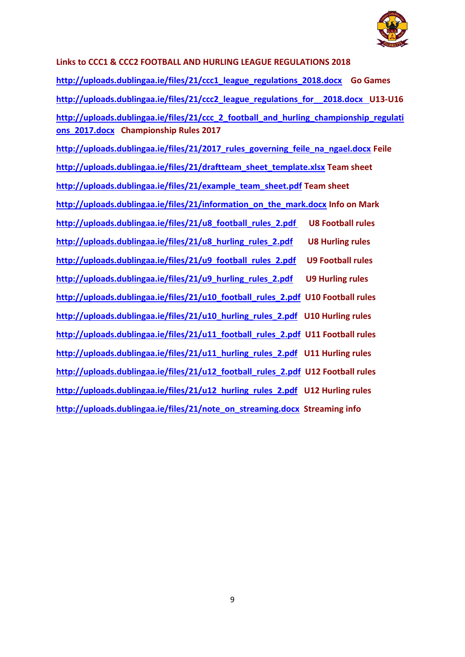

**Links to CCC1 & CCC2 FOOTBALL AND HURLING LEAGUE REGULATIONS 2018 [http://uploads.dublingaa.ie/files/21/ccc1\\_league\\_regulations\\_2018.docx](http://uploads.dublingaa.ie/files/21/ccc1_league_regulations_2018.docx) Go Games [http://uploads.dublingaa.ie/files/21/ccc2\\_league\\_regulations\\_for\\_\\_2018.docx U](http://uploads.dublingaa.ie/files/21/ccc2_league_regulations_for__2018.docx)13-U16 [http://uploads.dublingaa.ie/files/21/ccc\\_2\\_football\\_and\\_hurling\\_championship\\_regulati](http://uploads.dublingaa.ie/files/21/ccc_2_football_and_hurling_championship_regulations_2017.docx) [ons\\_2017.docx](http://uploads.dublingaa.ie/files/21/ccc_2_football_and_hurling_championship_regulations_2017.docx) Championship Rules 2017 [http://uploads.dublingaa.ie/files/21/2017\\_rules\\_governing\\_feile\\_na\\_ngael.docx](http://uploads.dublingaa.ie/files/21/2017_rules_governing_feile_na_ngael.docx) Feile [http://uploads.dublingaa.ie/files/21/draftteam\\_sheet\\_template.xlsx](http://uploads.dublingaa.ie/files/21/draftteam_sheet_template.xlsx) Team sheet [http://uploads.dublingaa.ie/files/21/example\\_team\\_sheet.pdf](http://uploads.dublingaa.ie/files/21/example_team_sheet.pdf) Team sheet [http://uploads.dublingaa.ie/files/21/information\\_on\\_the\\_mark.docx](http://uploads.dublingaa.ie/files/21/information_on_the_mark.docx) Info on Mark [http://uploads.dublingaa.ie/files/21/u8\\_football\\_rules\\_2.pdf](http://uploads.dublingaa.ie/files/21/u8_football_rules_2.pdf%20U8) U8 Football rules [http://uploads.dublingaa.ie/files/21/u8\\_hurling\\_rules\\_2.pdf](http://uploads.dublingaa.ie/files/21/u8_hurling_rules_2.pdf) U8 Hurling rules [http://uploads.dublingaa.ie/files/21/u9\\_football\\_rules\\_2.pdf](http://uploads.dublingaa.ie/files/21/u9_football_rules_2.pdf) U9 Football rules [http://uploads.dublingaa.ie/files/21/u9\\_hurling\\_rules\\_2.pdf](http://uploads.dublingaa.ie/files/21/u9_hurling_rules_2.pdf) U9 Hurling rules [http://uploads.dublingaa.ie/files/21/u10\\_football\\_rules\\_2.pdf](http://uploads.dublingaa.ie/files/21/u10_football_rules_2.pdf) U10 Football rules [http://uploads.dublingaa.ie/files/21/u10\\_hurling\\_rules\\_2.pdf](http://uploads.dublingaa.ie/files/21/u10_hurling_rules_2.pdf) U10 Hurling rules [http://uploads.dublingaa.ie/files/21/u11\\_football\\_rules\\_2.pdf](http://uploads.dublingaa.ie/files/21/u11_football_rules_2.pdf) U11 Football rules [http://uploads.dublingaa.ie/files/21/u11\\_hurling\\_rules\\_2.pdf](http://uploads.dublingaa.ie/files/21/u11_hurling_rules_2.pdf) U11 Hurling rules [http://uploads.dublingaa.ie/files/21/u12\\_football\\_rules\\_2.pdf](http://uploads.dublingaa.ie/files/21/u12_football_rules_2.pdf) U12 Football rules [http://uploads.dublingaa.ie/files/21/u12\\_hurling\\_rules\\_2.pdf](http://uploads.dublingaa.ie/files/21/u12_hurling_rules_2.pdf) U12 Hurling rules [http://uploads.dublingaa.ie/files/21/note\\_on\\_streaming.docx](http://uploads.dublingaa.ie/files/21/note_on_streaming.docx) Streaming info**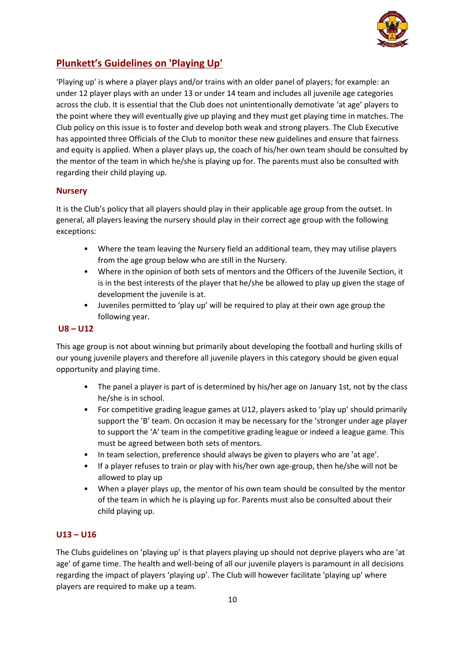

# **Plunkett's Guidelines on 'Playing Up'**

'Playing up' is where a player plays and/or trains with an older panel of players; for example: an under 12 player plays with an under 13 or under 14 team and includes all juvenile age categories across the club. It is essential that the Club does not unintentionally demotivate 'at age' players to the point where they will eventually give up playing and they must get playing time in matches. The Club policy on this issue is to foster and develop both weak and strong players. The Club Executive has appointed three Officials of the Club to monitor these new guidelines and ensure that fairness and equity is applied. When a player plays up, the coach of his/her own team should be consulted by the mentor of the team in which he/she is playing up for. The parents must also be consulted with regarding their child playing up.

#### **Nursery**

It is the Club's policy that all players should play in their applicable age group from the outset. In general, all players leaving the nursery should play in their correct age group with the following exceptions:

- Where the team leaving the Nursery field an additional team, they may utilise players from the age group below who are still in the Nursery.
- Where in the opinion of both sets of mentors and the Officers of the Juvenile Section, it is in the best interests of the player that he/she be allowed to play up given the stage of development the juvenile is at.
- Juveniles permitted to 'play up' will be required to play at their own age group the following year.

#### **U8 – U12**

This age group is not about winning but primarily about developing the football and hurling skills of our young juvenile players and therefore all juvenile players in this category should be given equal opportunity and playing time.

- The panel a player is part of is determined by his/her age on January 1st, not by the class he/she is in school.
- For competitive grading league games at U12, players asked to 'play up' should primarily support the 'B' team. On occasion it may be necessary for the 'stronger under age player to support the 'A' team in the competitive grading league or indeed a league game. This must be agreed between both sets of mentors.
- In team selection, preference should always be given to players who are 'at age'.
- If a player refuses to train or play with his/her own age-group, then he/she will not be allowed to play up
- When a player plays up, the mentor of his own team should be consulted by the mentor of the team in which he is playing up for. Parents must also be consulted about their child playing up.

#### **U13 – U16**

The Clubs guidelines on 'playing up' is that players playing up should not deprive players who are 'at age' of game time. The health and well-being of all our juvenile players is paramount in all decisions regarding the impact of players 'playing up'. The Club will however facilitate 'playing up' where players are required to make up a team.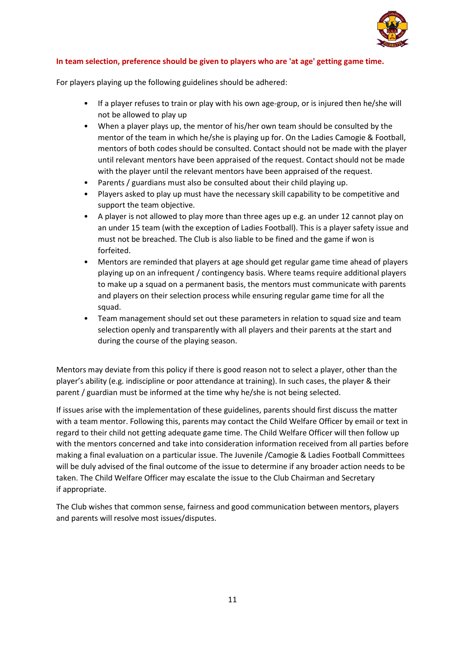

#### **In team selection, preference should be given to players who are 'at age' getting game time.**

For players playing up the following guidelines should be adhered:

- If a player refuses to train or play with his own age-group, or is injured then he/she will not be allowed to play up
- When a player plays up, the mentor of his/her own team should be consulted by the mentor of the team in which he/she is playing up for. On the Ladies Camogie & Football, mentors of both codes should be consulted. Contact should not be made with the player until relevant mentors have been appraised of the request. Contact should not be made with the player until the relevant mentors have been appraised of the request.
- Parents / guardians must also be consulted about their child playing up.
- Players asked to play up must have the necessary skill capability to be competitive and support the team objective.
- A player is not allowed to play more than three ages up e.g. an under 12 cannot play on an under 15 team (with the exception of Ladies Football). This is a player safety issue and must not be breached. The Club is also liable to be fined and the game if won is forfeited.
- Mentors are reminded that players at age should get regular game time ahead of players playing up on an infrequent / contingency basis. Where teams require additional players to make up a squad on a permanent basis, the mentors must communicate with parents and players on their selection process while ensuring regular game time for all the squad.
- Team management should set out these parameters in relation to squad size and team selection openly and transparently with all players and their parents at the start and during the course of the playing season.

Mentors may deviate from this policy if there is good reason not to select a player, other than the player's ability (e.g. indiscipline or poor attendance at training). In such cases, the player & their parent / guardian must be informed at the time why he/she is not being selected.

If issues arise with the implementation of these guidelines, parents should first discuss the matter with a team mentor. Following this, parents may contact the Child Welfare Officer by email or text in regard to their child not getting adequate game time. The Child Welfare Officer will then follow up with the mentors concerned and take into consideration information received from all parties before making a final evaluation on a particular issue. The Juvenile /Camogie & Ladies Football Committees will be duly advised of the final outcome of the issue to determine if any broader action needs to be taken. The Child Welfare Officer may escalate the issue to the Club Chairman and Secretary if appropriate.

The Club wishes that common sense, fairness and good communication between mentors, players and parents will resolve most issues/disputes.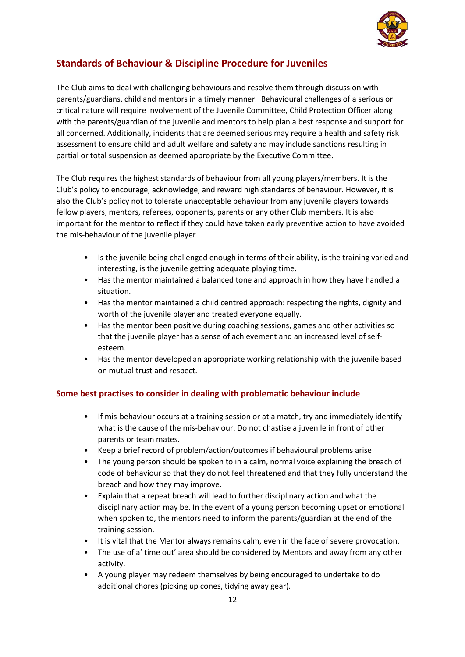

## **Standards of Behaviour & Discipline Procedure for Juveniles**

The Club aims to deal with challenging behaviours and resolve them through discussion with parents/guardians, child and mentors in a timely manner. Behavioural challenges of a serious or critical nature will require involvement of the Juvenile Committee, Child Protection Officer along with the parents/guardian of the juvenile and mentors to help plan a best response and support for all concerned. Additionally, incidents that are deemed serious may require a health and safety risk assessment to ensure child and adult welfare and safety and may include sanctions resulting in partial or total suspension as deemed appropriate by the Executive Committee.

The Club requires the highest standards of behaviour from all young players/members. It is the Club's policy to encourage, acknowledge, and reward high standards of behaviour. However, it is also the Club's policy not to tolerate unacceptable behaviour from any juvenile players towards fellow players, mentors, referees, opponents, parents or any other Club members. It is also important for the mentor to reflect if they could have taken early preventive action to have avoided the mis-behaviour of the juvenile player

- Is the juvenile being challenged enough in terms of their ability, is the training varied and interesting, is the juvenile getting adequate playing time.
- Has the mentor maintained a balanced tone and approach in how they have handled a situation.
- Has the mentor maintained a child centred approach: respecting the rights, dignity and worth of the juvenile player and treated everyone equally.
- Has the mentor been positive during coaching sessions, games and other activities so that the juvenile player has a sense of achievement and an increased level of selfesteem.
- Has the mentor developed an appropriate working relationship with the juvenile based on mutual trust and respect.

## **Some best practises to consider in dealing with problematic behaviour include**

- If mis-behaviour occurs at a training session or at a match, try and immediately identify what is the cause of the mis-behaviour. Do not chastise a juvenile in front of other parents or team mates.
- Keep a brief record of problem/action/outcomes if behavioural problems arise
- The young person should be spoken to in a calm, normal voice explaining the breach of code of behaviour so that they do not feel threatened and that they fully understand the breach and how they may improve.
- Explain that a repeat breach will lead to further disciplinary action and what the disciplinary action may be. In the event of a young person becoming upset or emotional when spoken to, the mentors need to inform the parents/guardian at the end of the training session.
- It is vital that the Mentor always remains calm, even in the face of severe provocation.
- The use of a' time out' area should be considered by Mentors and away from any other activity.
- A young player may redeem themselves by being encouraged to undertake to do additional chores (picking up cones, tidying away gear).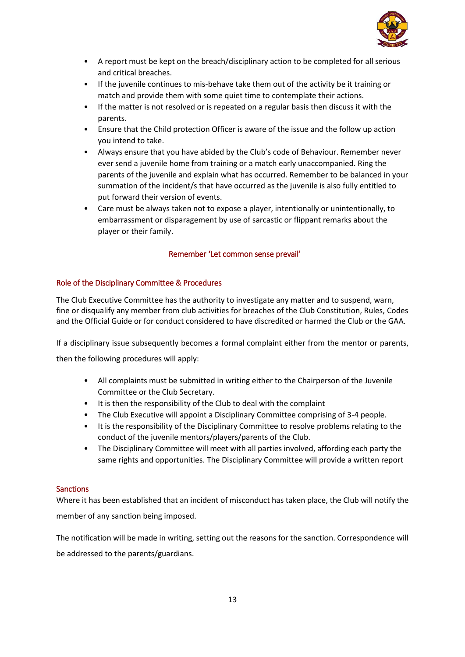

- A report must be kept on the breach/disciplinary action to be completed for all serious and critical breaches.
- If the juvenile continues to mis-behave take them out of the activity be it training or match and provide them with some quiet time to contemplate their actions.
- If the matter is not resolved or is repeated on a regular basis then discuss it with the parents.
- Ensure that the Child protection Officer is aware of the issue and the follow up action you intend to take.
- Always ensure that you have abided by the Club's code of Behaviour. Remember never ever send a juvenile home from training or a match early unaccompanied. Ring the parents of the juvenile and explain what has occurred. Remember to be balanced in your summation of the incident/s that have occurred as the juvenile is also fully entitled to put forward their version of events.
- Care must be always taken not to expose a player, intentionally or unintentionally, to embarrassment or disparagement by use of sarcastic or flippant remarks about the player or their family.

#### Remember 'Let common sense prevail'

#### Role of the Disciplinary Committee & Procedures

The Club Executive Committee has the authority to investigate any matter and to suspend, warn, fine or disqualify any member from club activities for breaches of the Club Constitution, Rules, Codes and the Official Guide or for conduct considered to have discredited or harmed the Club or the GAA.

If a disciplinary issue subsequently becomes a formal complaint either from the mentor or parents,

then the following procedures will apply:

- All complaints must be submitted in writing either to the Chairperson of the Juvenile Committee or the Club Secretary.
- It is then the responsibility of the Club to deal with the complaint
- The Club Executive will appoint a Disciplinary Committee comprising of 3-4 people.
- It is the responsibility of the Disciplinary Committee to resolve problems relating to the conduct of the juvenile mentors/players/parents of the Club.
- The Disciplinary Committee will meet with all parties involved, affording each party the same rights and opportunities. The Disciplinary Committee will provide a written report

#### **Sanctions**

Where it has been established that an incident of misconduct has taken place, the Club will notify the member of any sanction being imposed.

The notification will be made in writing, setting out the reasons for the sanction. Correspondence will be addressed to the parents/guardians.